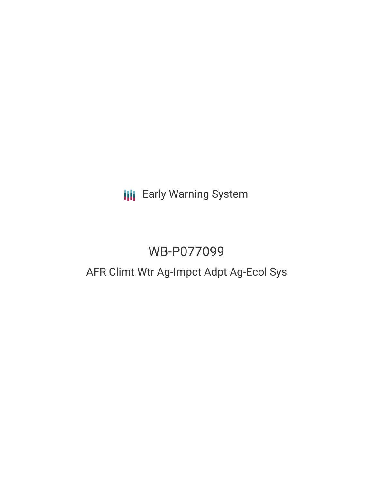# **III** Early Warning System

# WB-P077099

## AFR Climt Wtr Ag-Impct Adpt Ag-Ecol Sys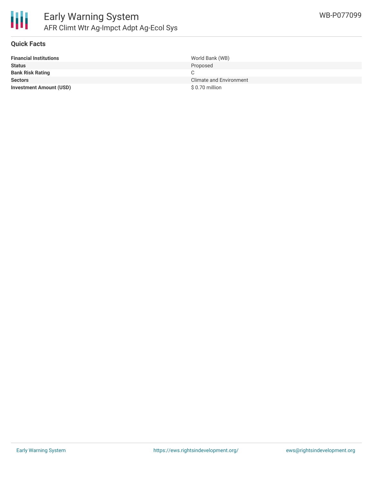

### **Quick Facts**

| <b>Financial Institutions</b>  | World Bank (WB)         |
|--------------------------------|-------------------------|
| <b>Status</b>                  | Proposed                |
| <b>Bank Risk Rating</b>        |                         |
| <b>Sectors</b>                 | Climate and Environment |
| <b>Investment Amount (USD)</b> | \$ 0.70 million         |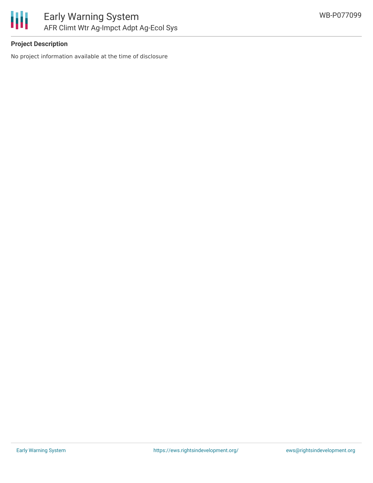

## **Project Description**

No project information available at the time of disclosure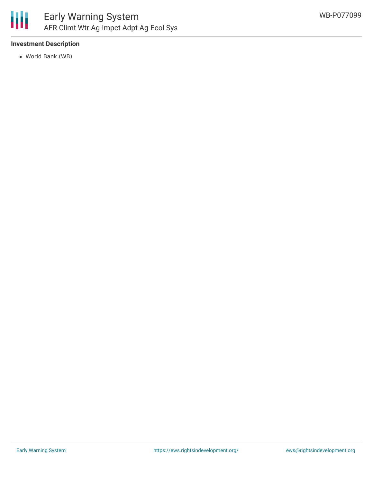

## **Investment Description**

World Bank (WB)